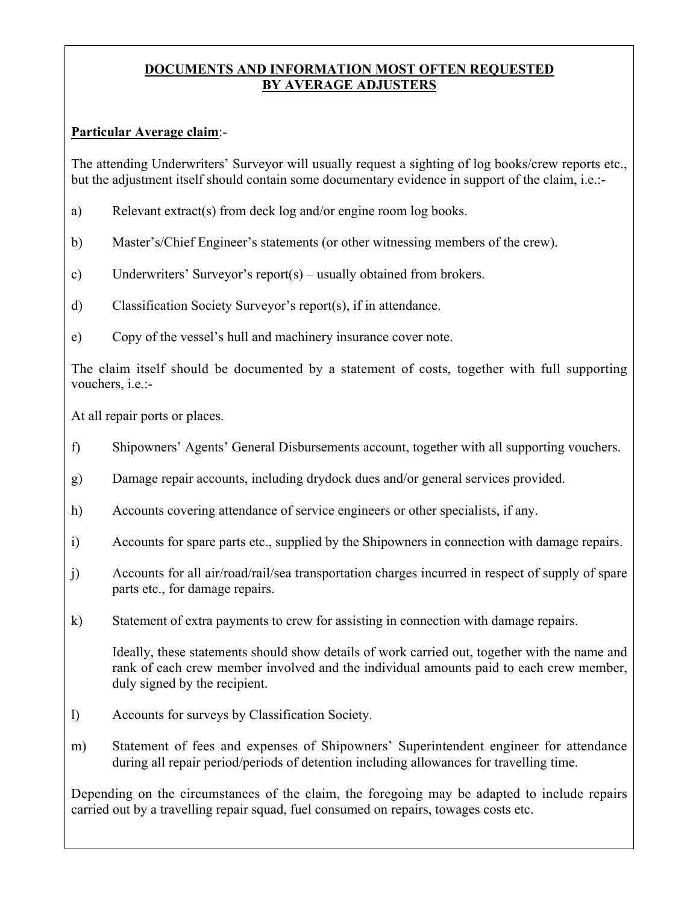## **DOCUMENTS AND INFORMATION MOST OFTEN REQUESTED BY AVERAGE ADJUSTERS**

## **Particular Average claim**:-

The attending Underwriters' Surveyor will usually request a sighting of log books/crew reports etc., but the adjustment itself should contain some documentary evidence in support of the claim, i.e.:-

- a) Relevant extract(s) from deck log and/or engine room log books.
- b) Master's/Chief Engineer's statements (or other witnessing members of the crew).
- c) Underwriters' Surveyor's report(s) usually obtained from brokers.
- d) Classification Society Surveyor's report(s), if in attendance.
- e) Copy of the vessel's hull and machinery insurance cover note.

The claim itself should be documented by a statement of costs, together with full supporting vouchers, i.e.:-

At all repair ports or places.

- f) Shipowners' Agents' General Disbursements account, together with all supporting vouchers.
- g) Damage repair accounts, including drydock dues and/or general services provided.
- h) Accounts covering attendance of service engineers or other specialists, if any.
- i) Accounts for spare parts etc., supplied by the Shipowners in connection with damage repairs.
- j) Accounts for all air/road/rail/sea transportation charges incurred in respect of supply of spare parts etc., for damage repairs.
- k) Statement of extra payments to crew for assisting in connection with damage repairs.

Ideally, these statements should show details of work carried out, together with the name and rank of each crew member involved and the individual amounts paid to each crew member, duly signed by the recipient.

- l) Accounts for surveys by Classification Society.
- m) Statement of fees and expenses of Shipowners' Superintendent engineer for attendance during all repair period/periods of detention including allowances for travelling time.

Depending on the circumstances of the claim, the foregoing may be adapted to include repairs carried out by a travelling repair squad, fuel consumed on repairs, towages costs etc.